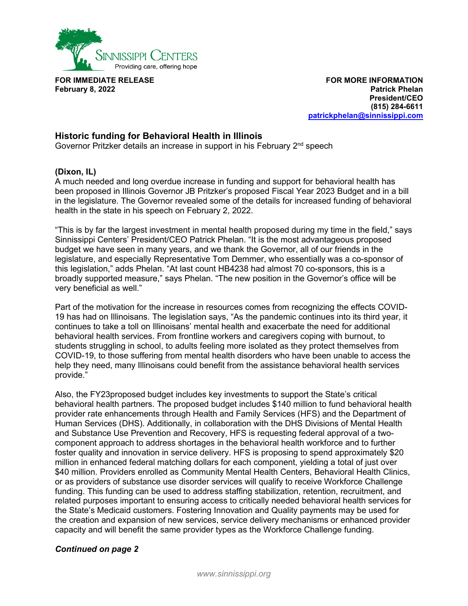

**FOR IMMEDIATE RELEASE February 8, 2022**

**FOR MORE INFORMATION Patrick Phelan President/CEO (815) 284-6611 [patrickphelan@sinnissippi.com](mailto:patrickphelan@sinnissippi.com)**

## **Historic funding for Behavioral Health in Illinois**

Governor Pritzker details an increase in support in his February 2<sup>nd</sup> speech

## **(Dixon, IL)**

A much needed and long overdue increase in funding and support for behavioral health has been proposed in Illinois Governor JB Pritzker's proposed Fiscal Year 2023 Budget and in a bill in the legislature. The Governor revealed some of the details for increased funding of behavioral health in the state in his speech on February 2, 2022.

"This is by far the largest investment in mental health proposed during my time in the field," says Sinnissippi Centers' President/CEO Patrick Phelan. "It is the most advantageous proposed budget we have seen in many years, and we thank the Governor, all of our friends in the legislature, and especially Representative Tom Demmer, who essentially was a co-sponsor of this legislation," adds Phelan. "At last count HB4238 had almost 70 co-sponsors, this is a broadly supported measure," says Phelan. "The new position in the Governor's office will be very beneficial as well."

Part of the motivation for the increase in resources comes from recognizing the effects COVID-19 has had on Illinoisans. The legislation says, "As the pandemic continues into its third year, it continues to take a toll on Illinoisans' mental health and exacerbate the need for additional behavioral health services. From frontline workers and caregivers coping with burnout, to students struggling in school, to adults feeling more isolated as they protect themselves from COVID-19, to those suffering from mental health disorders who have been unable to access the help they need, many Illinoisans could benefit from the assistance behavioral health services provide."

Also, the FY23proposed budget includes key investments to support the State's critical behavioral health partners. The proposed budget includes \$140 million to fund behavioral health provider rate enhancements through Health and Family Services (HFS) and the Department of Human Services (DHS). Additionally, in collaboration with the DHS Divisions of Mental Health and Substance Use Prevention and Recovery, HFS is requesting federal approval of a twocomponent approach to address shortages in the behavioral health workforce and to further foster quality and innovation in service delivery. HFS is proposing to spend approximately \$20 million in enhanced federal matching dollars for each component, yielding a total of just over \$40 million. Providers enrolled as Community Mental Health Centers, Behavioral Health Clinics, or as providers of substance use disorder services will qualify to receive Workforce Challenge funding. This funding can be used to address staffing stabilization, retention, recruitment, and related purposes important to ensuring access to critically needed behavioral health services for the State's Medicaid customers. Fostering Innovation and Quality payments may be used for the creation and expansion of new services, service delivery mechanisms or enhanced provider capacity and will benefit the same provider types as the Workforce Challenge funding.

## *Continued on page 2*